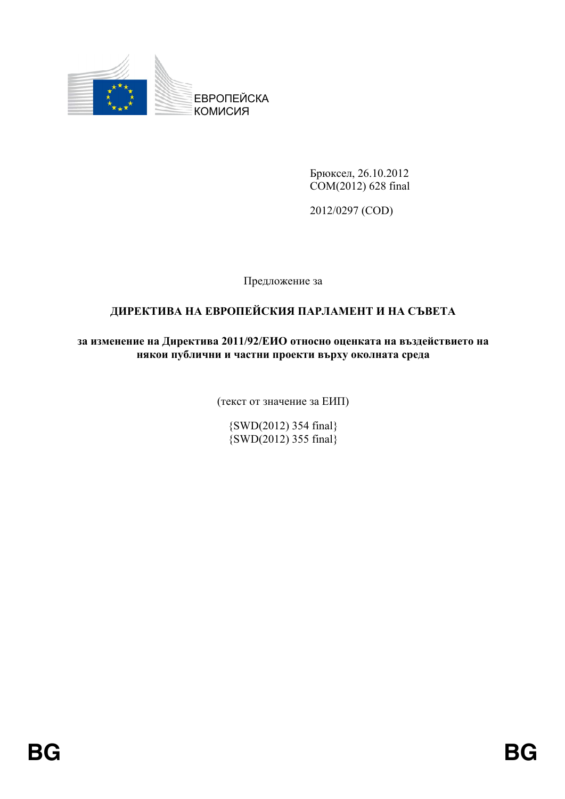

Брюксел, 26.10.2012 COM(2012) 628 final

2012/0297 (COD)

Предложение за

# **ДИРЕКТИВА НА ЕВРОПЕЙСКИЯ ПАРЛАМЕНТ И НА СЪВЕТА**

# **3** изменение на Директива 2011/92/ЕИО относно оценката на въздействието на **НЯКОИ ПУблични и частни проекти върху околната среда**

(текст от значение за ЕИП)

{SWD(2012) 354 final}  $\{SWD(2012)$  355 final $\}$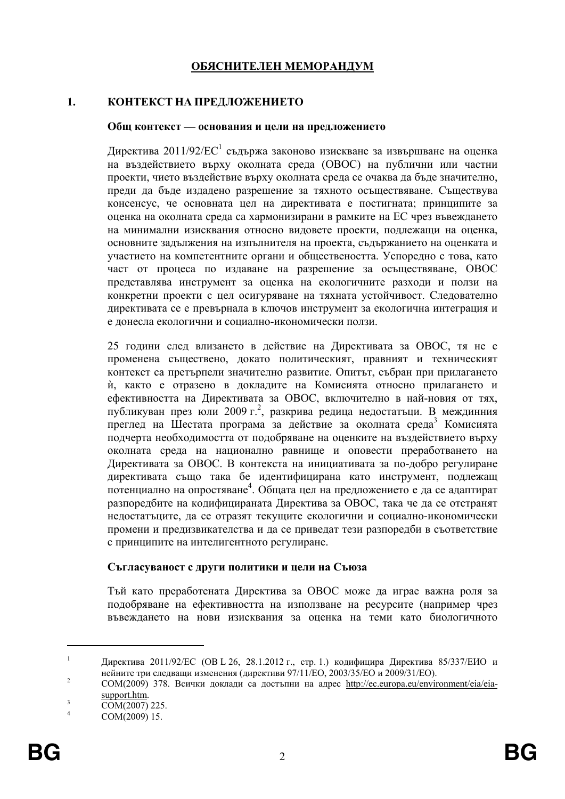# ОБЯСНИТЕЛЕН МЕМОРАНДУМ

#### $\mathbf{1}$ . КОНТЕКСТ НА ПРЕДЛОЖЕНИЕТО

#### Общ контекст — основания и цели на предложението

Директива 2011/92/ЕС<sup>1</sup> съдържа законово изискване за извършване на оценка на въздействието върху околната среда (ОВОС) на публични или частни проекти, чието въздействие върху околната среда се очаква да бъде значително, преди да бъде издадено разрешение за тяхното осъществяване. Съществува консенсус, че основната цел на директивата е постигната; принципите за оценка на околната среда са хармонизирани в рамките на ЕС чрез въвеждането на минимални изисквания относно видовете проекти, подлежащи на оценка, основните задължения на изпълнителя на проекта, съдържанието на оценката и участието на компетентните органи и обществеността. Успоредно с това, като част от процеса по издаване на разрешение за осъществяване, ОВОС представлява инструмент за оценка на екологичните разходи и ползи на конкретни проекти с цел осигуряване на тяхната устойчивост. Следователно лирективата се е превърнала в ключов инструмент за екологична интеграция и е лонесла екологични и социално-икономически ползи.

25 години след влизането в действие на Директивата за ОВОС, тя не е променена съществено, докато политическият, правният и техническият контекст са претърпели значително развитие. Опитът, събран при прилагането и, както е отразено в докладите на Комисията относно прилагането и ефективността на Директивата за ОВОС, включително в най-новия от тях, публикуван през юли 2009 г.<sup>2</sup>, разкрива редица недостатьци. В междинния преглед на Шестата програма за действие за околната среда<sup>3</sup> Комисията подчерта необходимостта от подобряване на оценките на въздействието върху околната среда на национално равнище и оповести преработването на Директивата за ОВОС. В контекста на инициативата за по-добро регулиране директивата също така бе идентифицирана като инструмент, подлежащ потенциално на опростяване<sup>4</sup>. Общата цел на предложението е да се адаптират разпоредбите на кодифицираната Директива за ОВОС, така че да се отстранят нелостатьците, да се отразят текушите екологични и социално-икономически промени и предизвикателства и да се приведат тези разпоредби в съответствие с принципите на интелигентното регулиране.

#### Съгласуваност с други политики и цели на Съюза

Тъй като преработената Директива за ОВОС може да играе важна роля за подобряване на ефективността на използване на ресурсите (например чрез въвеждането на нови изисквания за оценка на теми като биологичното

 $\mathbf{1}$ Директива 2011/92/ЕС (ОВ L 26, 28.1.2012 г., стр. 1.) кодифицира Директива 85/337/ЕИО и нейните три следващи изменения (директиви 97/11/ЕО, 2003/35/ЕО и 2009/31/ЕО).

 $\overline{2}$ COM(2009) 378. Всички доклади са достъпни на адрес http://ec.europa.eu/environment/eia/eiasupport.htm.  $\overline{a}$ 

COM(2007) 225.

 $\overline{4}$ COM(2009) 15.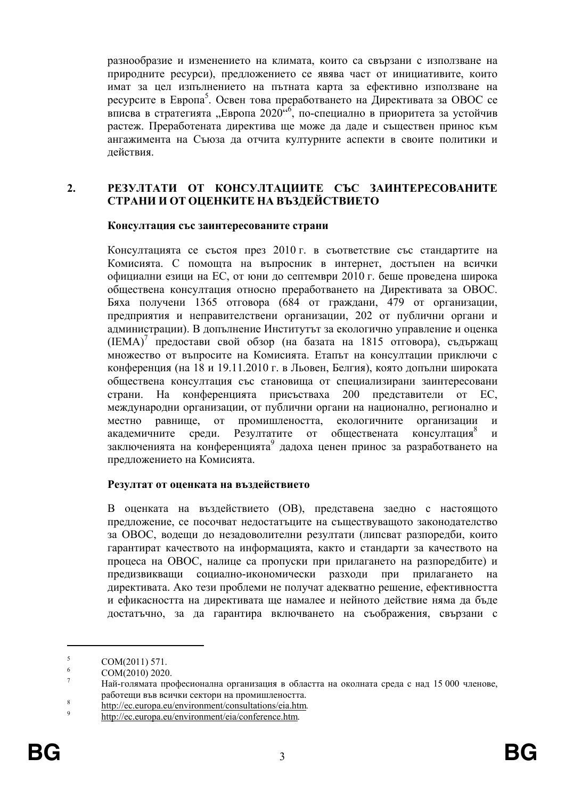разнообразие и изменението на климата, които са свързани с използване на природните ресурси), предложението се явява част от инициативите, които имат за цел изпълнението на пътната карта за ефективно използване на ресурсите в Европа<sup>5</sup>. Освен това преработването на Директивата за ОВОС се вписва в стратегията "Европа 2020<sup>"6</sup>, по-специално в приоритета за устойчив растеж. Преработената директива ще може да даде и съществен принос към ангажимента на Съюза да отчита културните аспекти в своите политики и лействия.

#### $2.$ РЕЗУЛТАТИ ОТ КОНСУЛТАЦИИТЕ СЪС ЗАИНТЕРЕСОВАНИТЕ СТРАНИ И ОТ ОЦЕНКИТЕ НА ВЪЗДЕЙСТВИЕТО

#### Консултация със заинтересованите страни

Консултацията се състоя през 2010 г. в съответствие със стандартите на Комисията. С помощта на въпросник в интернет, достъпен на всички официални езици на ЕС, от юни до септември 2010 г. беше проведена широка обществена консултация относно преработването на Директивата за ОВОС. Бяха получени 1365 отговора (684 от граждани, 479 от организации, предприятия и неправителствени организации, 202 от публични органи и администрации). В допълнение Институтът за екологично управление и оценка (IEMA)<sup>7</sup> предостави свой обзор (на базата на 1815 отговора), съдържащ множество от въпросите на Комисията. Етапът на консултации приключи с конференция (на 18 и 19.11.2010 г. в Льовен, Белгия), която допълни широката обществена консултация със становища от специализирани заинтересовани страни. Ha конференцията присъстваха 200 представители от EC международни организации, от публични органи на национално, регионално и  $O(T)$ промишлеността, екологичните организации  $\overline{M}$ местно равнище, Резултатите  $\overline{0}$ консултация акалемичните среди. обшествената  $\mathbf{M}$ заключенията на конференцията<sup>9</sup> дадоха ценен принос за разработването на предложението на Комисията.

#### Резултат от оценката на въздействието

В оценката на въздействието (ОВ), представена заедно с настоящото предложение, се посочват недостатъците на съществуващото законодателство за ОВОС, водещи до незадоволителни резултати (липсват разпоредби, които гарантират качеството на информацията, както и стандарти за качеството на процеса на ОВОС, налице са пропуски при прилагането на разпоредбите) и предизвикващи социално-икономически разходи при прилагането на лирективата. Ако тези проблеми не получат алекватно решение, ефективността и ефикасността на директивата ще намалее и нейното действие няма да бъде достатьчно, за да гарантира включването на съображения, свързани с

 $\overline{5}$ COM(2011) 571.  $\overline{6}$ 

COM(2010) 2020.

 $\overline{\mathcal{I}}$ Най-голямата професионална организация в областта на околната среда с над 15 000 членове, работещи във всички сектори на промишлеността.

 $\overline{8}$ http://ec.europa.eu/environment/consultations/eia.htm.

 $\overline{9}$ http://ec.europa.eu/environment/eia/conference.htm.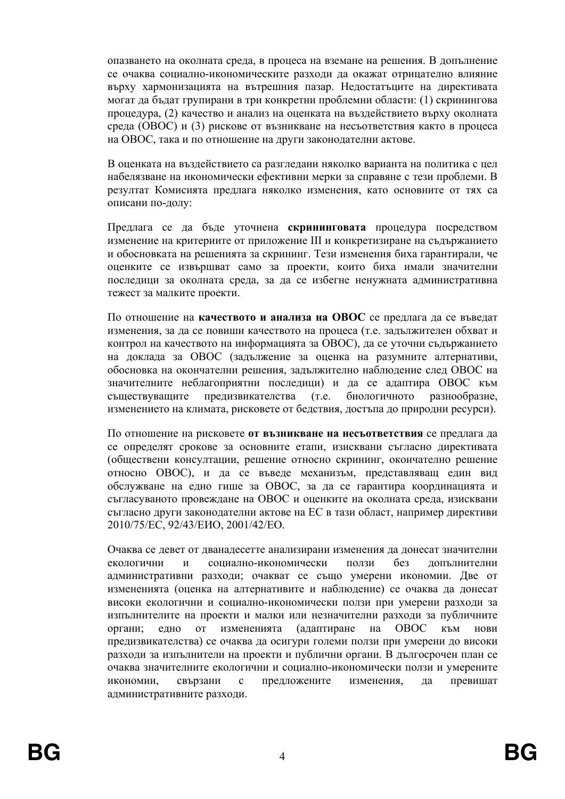опазването на околната среда, в процеса на вземане на решения. В допълнение се очаква социално-икономическите разходи да окажат отрицателно влияние върху хармонизацията на вътрешния пазар. Недостатъците на директивата могат да бъдат групирани в три конкретни проблемни области: (1) скринингова процедура, (2) качество и анализ на оценката на въздействието върху околната среда (ОВОС) и (3) рискове от възникване на несъответствия както в процеса на ОВОС, така и по отношение на други законодателни актове.

В оценката на въздействието са разгледани няколко варианта на политика с цел набелязване на икономически ефективни мерки за справяне с тези проблеми. В резултат Комисията предлага няколко изменения, като основните от тях са описани по-лолу:

Предлага се да бъде уточнена скрининговата процедура посредством изменение на критериите от приложение III и конкретизиране на съдържанието и обосновката на решенията за скрининг. Тези изменения биха гарантирали, че оценките се извършват само за проекти, които биха имали значителни последици за околната среда, за да се избегне ненужната административна тежест за малките проекти.

По отношение на качеството и анализа на ОВОС се предлага да се въведат изменения, за да се повиши качеството на процеса (т.е. задължителен обхват и контрол на качеството на информацията за ОВОС), да се уточни съдържанието на доклада за ОВОС (задължение за оценка на разумните алтернативи, обосновка на окончателни решения, задължително наблюдение след ОВОС на значителните неблагоприятни послелици) и да се алаптира ОВОС към съществуващите предизвикателства  $(T.e.$ биологичното разнообразие, изменението на климата, рисковете от бедствия, достъпа до природни ресурси).

По отношение на рисковете от възникване на несьответствия се предлага да се определят срокове за основните етапи, изисквани съгласно директивата (обществени консултации, решение относно скрининг, окончателно решение относно ОВОС), и да се въведе механизъм, представляващ един вид обслужване на едно гише за ОВОС, за да се гарантира координацията и съгласуваното провеждане на ОВОС и оценките на околната среда, изисквани съгласно други законодателни актове на ЕС в тази област, например директиви 2010/75/EC, 92/43/EHO, 2001/42/EO,

Очаква се девет от дванадесетте анализирани изменения да донесат значителни социално-икономически екологични ползи  $6e<sub>3</sub>$ лопълнителни  $\overline{M}$ административни разходи; очакват се също умерени икономии. Две от измененията (оценка на алтернативите и наблюдение) се очаква да донесат високи екологични и социално-икономически ползи при умерени разходи за изпълнителите на проекти и малки или незначителни разходи за публичните измененията (адаптиране на OBOC КЪМ органи; едно **OT** нови предизвикателства) се очаква да осигури големи ползи при умерени до високи разходи за изпълнители на проекти и публични органи. В дългосрочен план се очаква значителните екологични и социално-икономически ползи и умерените икономии. свързани  $\mathbf{c}$ предложените изменения. превишат ла административните разходи.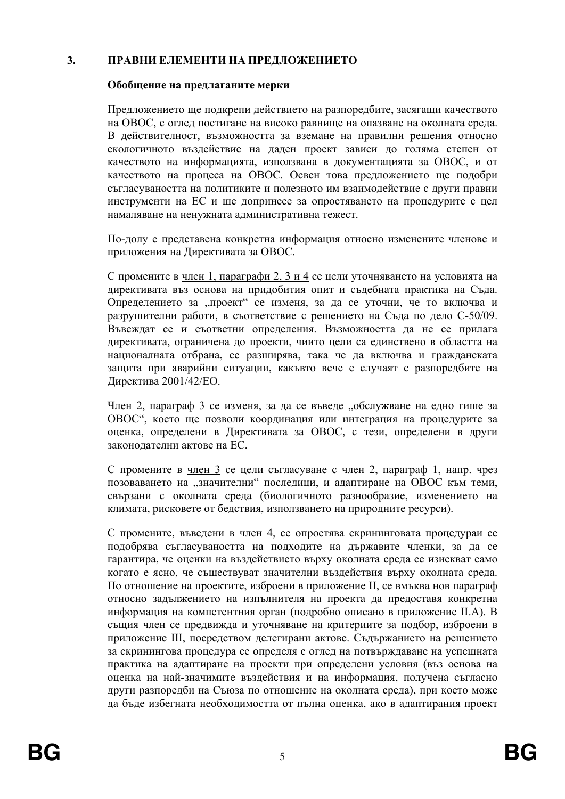#### $3.$ ПРАВНИ ЕЛЕМЕНТИ НА ПРЕДЛОЖЕНИЕТО

#### Обобщение на предлаганите мерки

Предложението ще подкрепи действието на разпоредбите, засягащи качеството на ОВОС, с оглед постигане на високо равнище на опазване на околната среда. В действителност, възможността за вземане на правилни решения относно екологичното въздействие на даден проект зависи до голяма степен от качеството на информацията, използвана в локументацията за ОВОС, и от качеството на процеса на ОВОС. Освен това предложението ще подобри съгласуваността на политиките и полезното им взаимодействие с други правни инструменти на ЕС и ще допринесе за опростяването на процедурите с цел намаляване на ненужната алминистративна тежест.

По-долу е представена конкретна информация относно изменените членове и приложения на Директивата за ОВОС.

С промените в член 1, параграфи 2, 3 и 4 се цели уточняването на условията на директивата въз основа на придобития опит и съдебната практика на Съда. Определението за "проект" се изменя, за да се уточни, че то включва и разрушителни работи, в съответствие с решението на Съда по дело С-50/09. Въвеждат се и съответни определения. Възможността да не се прилага директивата, ограничена до проекти, чиито цели са единствено в областта на националната отбрана, се разширява, така че да включва и гражданската защита при аварийни ситуации, какъвто вече е случаят с разпоредбите на Директива 2001/42/ЕО.

Член 2, параграф 3 се изменя, за да се въведе "обслужване на едно гише за ОВОС", което ще позволи координация или интеграция на процедурите за оценка, определени в Директивата за ОВОС, с тези, определени в други законолателни актове на ЕС.

С промените в член 3 се цели съгласуване с член 2, параграф 1, напр. чрез позоваването на "значителни" последици, и адаптиране на ОВОС към теми, свързани с околната среда (биологичното разнообразие, изменението на климата, рисковете от бедствия, използването на природните ресурси).

С промените, въведени в член 4, се опростява скрининговата процедураи се подобрява съгласуваността на подходите на държавите членки, за да се гарантира, че оценки на въздействието върху околната среда се изискват само когато е ясно, че съществуват значителни въздействия върху околната среда. По отношение на проектите, изброени в приложение II, се вмъква нов параграф относно задължението на изпълнителя на проекта да предоставя конкретна информация на компетентния орган (подробно описано в приложение II.A). В същия член се предвижда и уточняване на критериите за подбор, изброени в приложение III, посредством делегирани актове. Съдържанието на решението за скринингова процедура се определя с оглед на потвърждаване на успешната практика на адаптиране на проекти при определени условия (въз основа на оценка на най-значимите въздействия и на информация, получена съгласно други разпоредби на Съюза по отношение на околната среда), при което може да бъде избегната необходимостта от пълна оценка, ако в адаптирания проект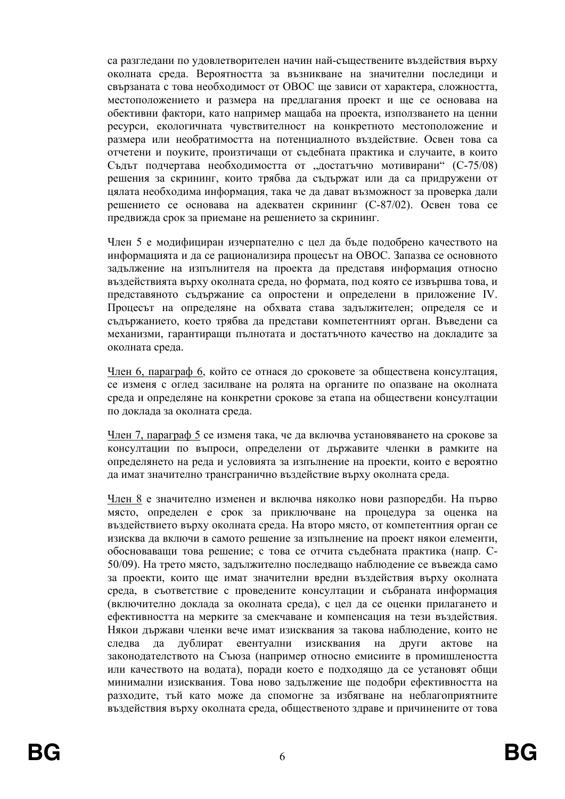са разглелани по удовлетворителен начин най-съществените въздействия върху околната среда. Вероятността за възникване на значителни последици и свързаната с това необходимост от ОВОС ще зависи от характера, сложността, местоположението и размера на предлагания проект и ще се основава на обективни фактори, като например машаба на проекта, използването на ценни ресурси, екологичната чувствителност на конкретното местоположение и размера или необратимостта на потенциалното въздействие. Освен това са отчетени и поуките, произтичащи от съдебната практика и случаите, в които Съдът подчертава необходимостта от "достатъчно мотивирани" (С-75/08) решения за скрининг, които трябва да съдържат или да са придружени от цялата необходима информация, така че да дават възможност за проверка дали решението се основава на адекватен скрининг (С-87/02). Освен това се предвижда срок за приемане на решението за скрининг.

Член 5 е модифициран изчерпателно с цел да бъде подобрено качеството на информацията и да се рационализира процесът на ОВОС. Запазва се основното задължение на изпълнителя на проекта да представя информация относно въздействията върху околната среда, но формата, под която се извършва това, и представяното съдържание са опростени и определени в приложение IV. Процесът на определяне на обхвата става задължителен; определя се и съдържанието, което трябва да представи компетентният орган. Въведени са механизми, гарантиращи пълнотата и достатъчното качество на докладите за околната среда.

Член 6, параграф 6, който се отнася до сроковете за обществена консултация, се изменя с оглед засилване на ролята на органите по опазване на околната среда и определяне на конкретни срокове за етапа на обществени консултации по локлала за околната среда.

Член 7, параграф 5 се изменя така, че да включва установяването на срокове за консултации по въпроси, определени от държавите членки в рамките на определянето на реда и условията за изпълнение на проекти, които е вероятно да имат значително трансгранично въздействие върху околната среда.

Член 8 е значително изменен и включва няколко нови разпоредби. На първо място, определен е срок за приключване на процедура за оценка на въздействието върху околната среда. На второ място, от компетентния орган се изисква да включи в самото решение за изпълнение на проект някои елементи, обосноваващи това решение; с това се отчита съдебната практика (напр. С-50/09). На трето място, задължително последващо наблюдение се въвежда само за проекти, които ще имат значителни вредни въздействия върху околната среда, в съответствие с проведените консултации и събраната информация (включително доклада за околната среда), с цел да се оценки прилагането и ефективността на мерките за смекчаване и компенсация на тези въздействия. Някои държави членки вече имат изисквания за такова наблюдение, които не дублират евентуални изисквания слелва ла на други актове на законодателството на Съюза (например относно емисиите в промишлеността или качеството на водата), поради което е подходящо да се установят общи минимални изисквания. Това ново задължение ще подобри ефективността на разходите, тъй като може да спомогне за избягване на неблагоприятните въздействия върху околната среда, общественото здраве и причинените от това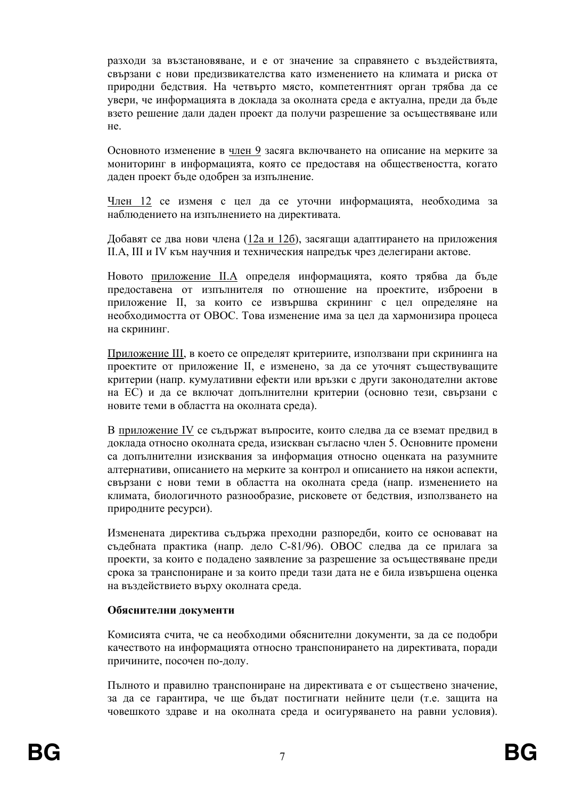разходи за възстановяване, и е от значение за справянето с въздействията. свързани с нови предизвикателства като изменението на климата и риска от природни бедствия. На четвърто място, компетентният орган трябва да се увери, че информацията в доклада за околната среда е актуална, преди да бъде взето решение дали даден проект да получи разрешение за осъществяване или  $He$ 

Основното изменение в член 9 засяга включването на описание на мерките за мониторинг в информацията, която се предоставя на обществеността, когато даден проект бъде одобрен за изпълнение.

Член 12 се изменя с цел да се уточни информацията, необходима за наблюдението на изпълнението на директивата.

Добавят се два нови члена (12а и 12б), засягащи адаптирането на приложения II.А, III и IV към научния и техническия напредък чрез делегирани актове.

Новото приложение II.А определя информацията, която трябва да бъде предоставена от изпълнителя по отношение на проектите, изброени в приложение II, за които се извършва скрининг с цел определяне на необходимостта от ОВОС. Това изменение има за цел да хармонизира процеса на скрининг.

Приложение III, в което се определят критериите, използвани при скрининга на проектите от приложение II, е изменено, за да се уточнят съществуващите критерии (напр. кумулативни ефекти или връзки с лруги законодателни актове на ЕС) и да се включат допълнителни критерии (основно тези, свързани с новите теми в областта на околната среда).

В приложение IV се съдържат въпросите, които следва да се вземат предвид в доклада относно околната среда, изискван съгласно член 5. Основните промени са допълнителни изисквания за информация относно оценката на разумните алтернативи, описанието на мерките за контрол и описанието на някои аспекти, свързани с нови теми в областта на околната среда (напр. изменението на климата, биологичното разнообразие, рисковете от бедствия, използването на природните ресурси).

Изменената директива съдържа преходни разпоредби, които се основават на съдебната практика (напр. дело С-81/96). ОВОС следва да се прилага за проекти, за които е подадено заявление за разрешение за осъществяване преди срока за транспониране и за които преди тази дата не е била извършена оценка на въздействието върху околната среда.

#### Обяснителни документи

Комисията счита, че са необходими обяснителни документи, за да се подобри качеството на информацията относно транспонирането на директивата, поради причините, посочен по-долу.

Пълното и правилно транспониране на директивата е от съществено значение, за да се гарантира, че ще бъдат постигнати нейните цели (т.е. защита на човешкото здраве и на околната среда и осигуряването на равни условия).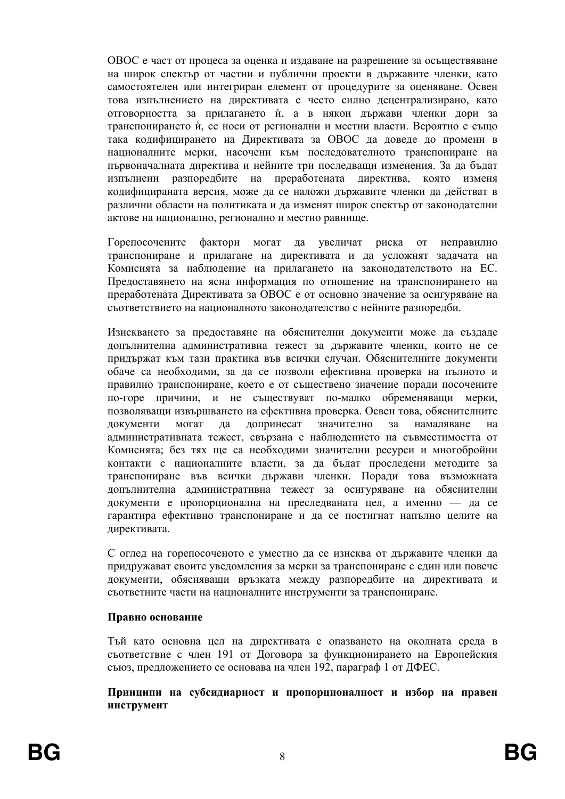ОВОС е част от процеса за оценка и излаване на разрешение за осъществяване на широк спектър от частни и публични проекти в държавите членки, като самостоятелен или интегриран елемент от процедурите за оценяване. Освен това изпълнението на директивата е често силно децентрализирано, като отговорността за прилагането ѝ, а в някои държави членки дори за транспонирането ѝ, се носи от регионални и местни власти. Вероятно е също така кодифицирането на Директивата за ОВОС да доведе до промени в националните мерки, насочени към последователното транспониране на първоначалната директива и нейните три последващи изменения. За да бъдат изпълнени разпоредбите на преработената директива, която изменя кодифицираната версия, може да се наложи държавите членки да действат в различни области на политиката и да изменят широк спектър от законодателни актове на национално, регионално и местно равнище.

Горепосочените фактори могат да увеличат риска от неправилно транспониране и прилагане на директивата и да усложнят задачата на Комисията за наблюдение на прилагането на законодателството на ЕС. Предоставянето на ясна информация по отношение на транспонирането на преработената Директивата за ОВОС е от основно значение за осигуряване на съответствието на националното законодателство с нейните разпоредби.

Изискването за предоставяне на обяснителни документи може да създаде допълнителна административна тежест за държавите членки, които не се придържат към тази практика във всички случаи. Обяснителните документи обаче са необходими, за да се позволи ефективна проверка на пълното и правилно транспониране, което е от съществено значение поради посочените по-горе причини, и не съществуват по-малко обременяващи мерки, позволяваши извършването на ефективна проверка. Освен това, обяснителните могат допринесат значително документи да  $3a$ намаляване на административната тежест, свързана с наблюдението на съвместимостта от Комисията; без тях ще са необходими значителни ресурси и многобройни контакти с националните власти, за да бъдат проследени методите за транспониране във всички държави членки. Поради това възможната допълнителна административна тежест за осигуряване на обяснителни документи е пропорционална на преследваната цел, а именно - да се гарантира ефективно транспониране и да се постигнат напълно целите на директивата.

С оглед на горепосоченото е уместно да се изисква от държавите членки да придружават своите уведомления за мерки за транспониране с един или повече документи, обясняващи връзката между разпоредбите на директивата и съответните части на националните инструменти за транспониране.

#### Правно основание

Тъй като основна цел на директивата е опазването на околната среда в съответствие с член 191 от Договора за функционирането на Европейския съюз, предложението се основава на член 192, параграф 1 от ДФЕС.

Принципи на субсидиарност и пропорционалност и избор на правен инструмент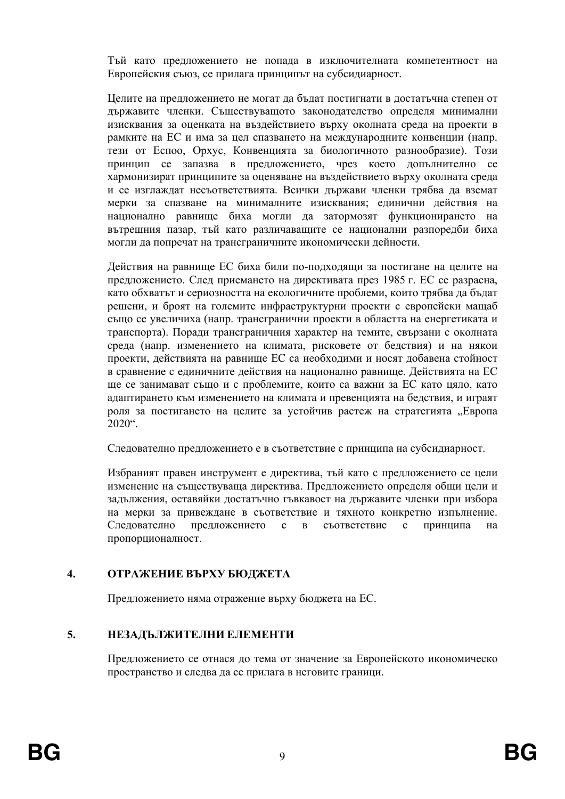Тъй като прелложението не попала в изключителната компетентност на Европейския съюз, се прилага принципът на субсидиарност.

Целите на предложението не могат да бъдат постигнати в достатъчна степен от държавите членки. Съществуващото законодателство определя минимални изисквания за оценката на въздействието върху околната среда на проекти в рамките на ЕС и има за цел спазването на международните конвенции (напр. тези от Еспоо, Орхус, Конвенцията за биологичното разнообразие). Този принцип се запазва в предложението, чрез което допълнително се хармонизират принципите за оценяване на въздействието върху околната среда и се изглаждат несъответствията. Всички държави членки трябва да вземат мерки за спазване на минималните изисквания; единични действия на национално равнище биха могли да затормозят функционирането на вътрешния пазар, тъй като различаващите се национални разпоредби биха могли да попречат на трансграничните икономически дейности.

Действия на равнище ЕС биха били по-подходящи за постигане на целите на предложението. След приемането на директивата през 1985 г. ЕС се разрасна, като обхватьт и сериозността на екологичните проблеми, които трябва да бъдат решени, и броят на големите инфраструктурни проекти с европейски мащаб също се увеличиха (напр. трансгранични проекти в областта на енергетиката и транспорта). Поради трансграничния характер на темите, свързани с околната среда (напр. изменението на климата, рисковете от бедствия) и на някои проекти, действията на равнище ЕС са необходими и носят добавена стойност в сравнение с единичните действия на национално равнище. Действията на ЕС ще се занимават също и с проблемите, които са важни за ЕС като цяло, като адаптирането към изменението на климата и превенцията на бедствия, и играят роля за постигането на целите за устойчив растеж на стратегията "Европа  $2020$ <sup>cc</sup>

Следователно предложението е в съответствие с принципа на субсидиарност.

Избраният правен инструмент е директива, тъй като с предложението се цели изменение на съществуваща директива. Предложението определя общи цели и задължения, оставяйки достатъчно гъвкавост на държавите членки при избора на мерки за привеждане в съответствие и тяхното конкретно изпълнение. Следователно предложението е в съответствие  $\mathbf{c}$ принципа на пропорционалност.

#### $\overline{\mathbf{4}}$ . ОТРАЖЕНИЕ ВЪРХУ БЮДЖЕТА

Предложението няма отражение върху бюджета на ЕС.

#### $5.$ НЕЗАДЪЛЖИТЕЛНИ ЕЛЕМЕНТИ

Предложението се отнася до тема от значение за Европейското икономическо пространство и следва да се прилага в неговите граници.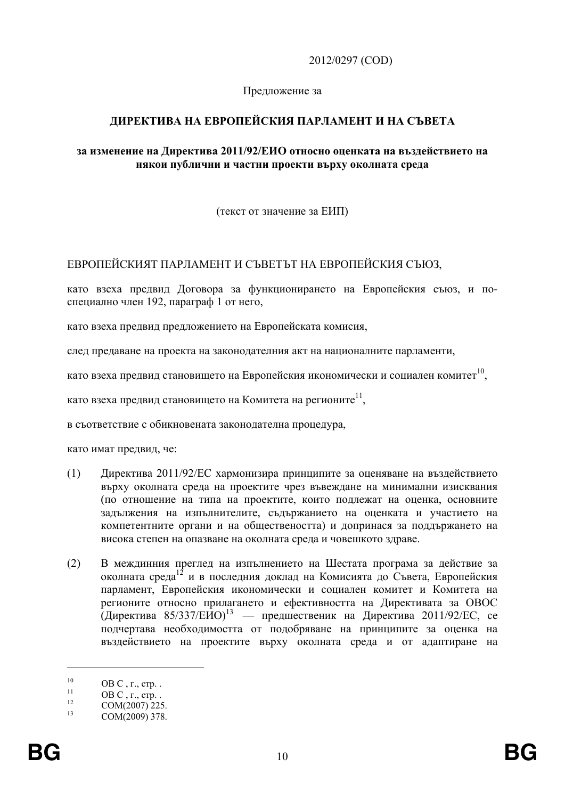2012/0297 (COD)

Предложение за

# ЛИРЕКТИВА НА ЕВРОПЕЙСКИЯ ПАРЛАМЕНТ И НА СЪВЕТА

### за изменение на Директива 2011/92/ЕИО относно оценката на въздействието на някои публични и частни проекти върху околната среда

(текст от значение за ЕИП)

# ЕВРОПЕЙСКИЯТ ПАРЛАМЕНТ И СЪВЕТЪТ НА ЕВРОПЕЙСКИЯ СЪЮЗ.

като взеха предвид Договора за функционирането на Европейския съюз, и поспециално член 192, параграф 1 от него,

като взеха предвид предложението на Европейската комисия,

слел прелаване на проекта на законолателния акт на националните парламенти.

като взеха предвид становището на Европейския икономически и социален комитет<sup>10</sup>,

като взеха предвид становището на Комитета на регионите<sup>11</sup>.

в съответствие с обикновената законодателна процедура,

като имат предвид, че:

- $(1)$ Директива 2011/92/ЕС хармонизира принципите за оценяване на въздействието върху околната среда на проектите чрез въвеждане на минимални изисквания (по отношение на типа на проектите, които подлежат на оценка, основните задължения на изпълнителите, съдържанието на оценката и участието на компетентните органи и на обществеността) и допринася за поддържането на висока степен на опазване на околната среда и човешкото здраве.
- $(2)$ В междинния преглед на изпълнението на Шестата програма за действие за околната среда<sup>12</sup> и в последния доклад на Комисията до Съвета. Европейския парламент, Европейския икономически и социален комитет и Комитета на регионите относно прилагането и ефективността на Директивата за ОВОС (Директива 85/337/ЕИО)<sup>13</sup> — предшественик на Директива 2011/92/ЕС, се подчертава необходимостта от подобряване на принципите за оценка на въздействието на проектите върху околната среда и от алаптиране на

 $10$ OB  $C$ ,  $r$ .,  $crp$ ..  $11$ 

 $OB C$ ,  $\Gamma$ .,  $CTD$ ..  $12 \overline{)}$ 

COM(2007) 225.

 $13$ COM(2009) 378.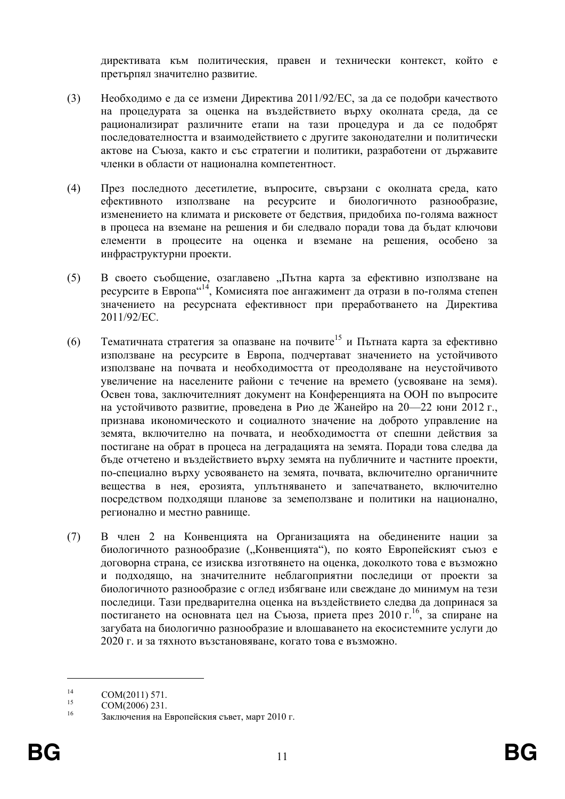лирективата към политическия, правен и технически контекст, който е претърпял значително развитие.

- $(3)$ Необходимо е да се измени Директива 2011/92/ЕС, за да се подобри качеството на процедурата за оценка на въздействието върху околната среда, да се рационализират различните етапи на тази процедура и да се подобрят последователността и взаимодействието с другите законодателни и политически актове на Съюза, както и със стратегии и политики, разработени от държавите членки в области от национална компетентност
- $(4)$ През последното десетилетие, въпросите, свързани с околната среда, като ефективното използване на ресурсите и биологичното разнообразие, изменението на климата и рисковете от бедствия, придобиха по-голяма важност в процеса на вземане на решения и би следвало поради това да бъдат ключови елементи в процесите на оценка и вземане на решения, особено за инфраструктурни проекти.
- $(5)$ В своето съобщение, озаглавено "Пътна карта за ефективно използване на ресурсите в Европа"<sup>14</sup>, Комисията пое ангажимент да отрази в по-голяма степен значението на ресурсната ефективност при преработването на Директива 2011/92/EC.
- Тематичната стратегия за опазване на почвите<sup>15</sup> и Пътната карта за ефективно  $(6)$ използване на ресурсите в Европа, подчертават значението на устойчивото използване на почвата и необходимостта от преодоляване на неустойчивото увеличение на населените райони с течение на времето (усвояване на земя). Освен това, заключителният документ на Конференцията на ООН по въпросите на устойчивото развитие, проведена в Рио де Жанейро на 20—22 юни 2012 г., признава икономическото и социалното значение на доброто управление на земята, включително на почвата, и необходимостта от спешни действия за постигане на обрат в процеса на деградацията на земята. Поради това следва да бъде отчетено и въздействието върху земята на публичните и частните проекти, по-специално върху усвояването на земята, почвата, включително органичните вещества в нея, ерозията, уплътняването и запечатването, включително посредством подходящи планове за земеползване и политики на национално, регионално и местно равнище.
- $(7)$ В член 2 на Конвенцията на Организацията на обединените нации за биологичното разнообразие ("Конвенцията"), по която Европейският съюз е договорна страна, се изисква изготвянето на оценка, доколкото това е възможно и подходящо, на значителните неблагоприятни последици от проекти за биологичното разнообразие с оглед избягване или свеждане до минимум на тези последици. Тази предварителна оценка на въздействието следва да допринася за постигането на основната цел на Съюза, приета през 2010 г. 16, за спиране на загубата на биологично разнообразие и влошаването на екосистемните услуги до 2020 г. и за тяхното възстановяване, когато това е възможно.

 $14$ COM(2011) 571.

<sup>15</sup> COM(2006) 231.

<sup>16</sup> Заключения на Европейския съвет, март 2010 г.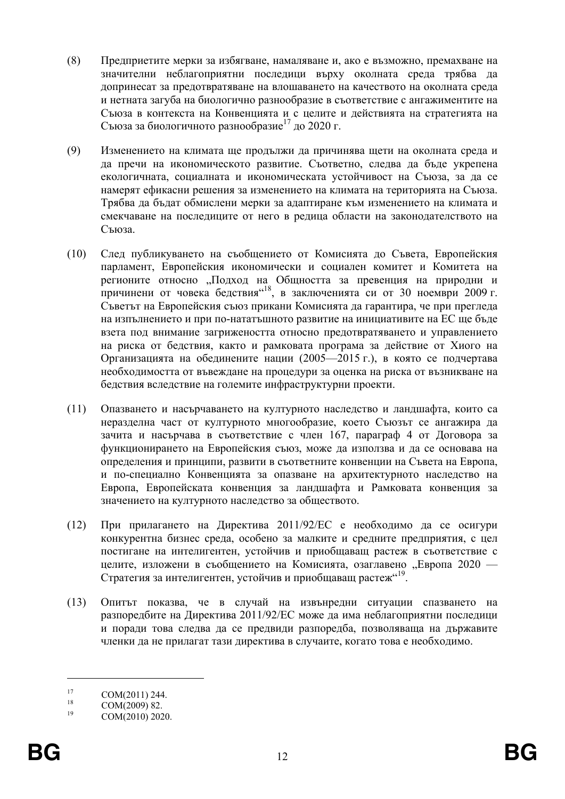- $(8)$ Предприетите мерки за избягване, намаляване и, ако е възможно, премахване на значителни неблагоприятни последици върху околната среда трябва да допринесат за предотвратяване на влошаването на качеството на околната среда и нетната загуба на биологично разнообразие в съответствие с ангажиментите на Съюза в контекста на Конвенцията и с целите и действията на стратегията на Съюза за биологичното разнообразие<sup>17</sup> до 2020 г.
- $(9)$ Изменението на климата ще продължи да причинява щети на околната среда и да пречи на икономическото развитие. Съответно, следва да бъде укрепена екологичната, социалната и икономическата устойчивост на Съюза, за да се намерят ефикасни решения за изменението на климата на територията на Съюза. Трябва да бъдат обмислени мерки за адаптиране към изменението на климата и смекчаване на последиците от него в редица области на законодателството на Съюза.
- $(10)$ След публикуването на съобщението от Комисията до Съвета, Европейския парламент. Европейския икономически и социален комитет и Комитета на регионите относно "Подход на Общността за превенция на природни и причинени от човека бедствия<sup>"18</sup>, в заключенията си от 30 ноември 2009 г. Съветът на Европейския съюз прикани Комисията да гарантира, че при прегледа на изпълнението и при по-нататъшното развитие на инициативите на ЕС ще бъде взета под внимание загрижеността относно предотвратяването и управлението на риска от бедствия, както и рамковата програма за действие от Хиого на Организацията на обединените нации (2005—2015 г.), в която се подчертава необходимостта от въвеждане на процедури за оценка на риска от възникване на бедствия вследствие на големите инфраструктурни проекти.
- $(11)$ Опазването и насърчаването на културното наследство и ландшафта, които са неразделна част от културното многообразие, което Съюзът се ангажира да зачита и насърчава в съответствие с член 167, параграф 4 от Договора за функционирането на Европейския съюз, може да използва и да се основава на определения и принципи, развити в съответните конвенции на Съвета на Европа, и по-специално Конвенцията за опазване на архитектурното наследство на Европа, Европейската конвенция за ландшафта и Рамковата конвенция за значението на културното наследство за обществото.
- $(12)$ При прилагането на Лиректива 2011/92/ЕС е необходимо да се осигури конкурентна бизнес среда, особено за малките и средните предприятия, с цел постигане на интелигентен, устойчив и приобщаващ растеж в съответствие с целите, изложени в съобщението на Комисията, озаглавено "Европа 2020 -Стратегия за интелигентен, устойчив и приобщаващ растеж"<sup>19</sup>.
- $(13)$ Опитът показва, че в случай на извънредни ситуации спазването на разпоредбите на Директива 2011/92/ЕС може да има неблагоприятни последици и поради това следва да се предвиди разпоредба, позволяваща на държавите членки да не прилагат тази директива в случаите, когато това е необходимо.

 $17$ COM(2011) 244.

<sup>18</sup> COM(2009) 82.

<sup>19</sup> COM(2010) 2020.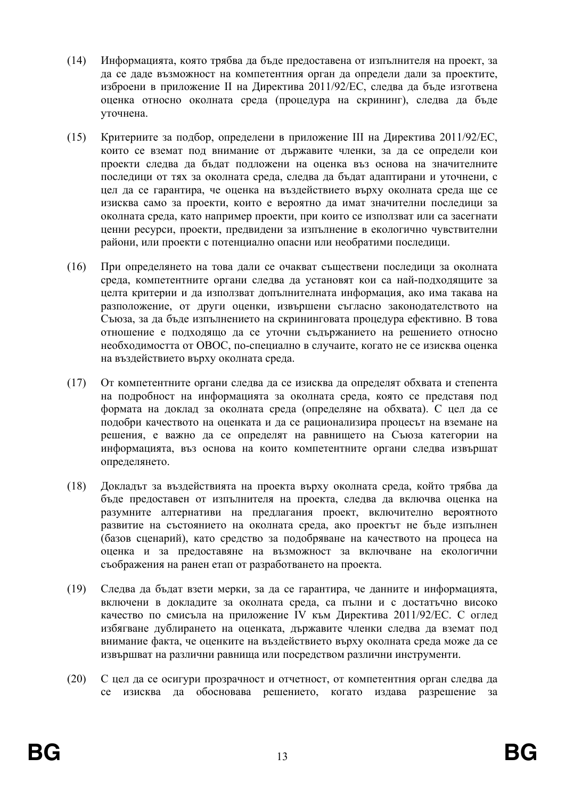- $(14)$ Информацията, която трябва да бъде предоставена от изпълнителя на проект, за да се даде възможност на компетентния орган да определи дали за проектите, изброени в приложение II на Директива 2011/92/ЕС, следва да бъде изготвена оценка относно околната среда (процедура на скрининг), следва да бъде уточнена.
- $(15)$ Критериите за подбор, определени в приложение III на Директива 2011/92/ЕС, които се вземат под внимание от държавите членки, за да се определи кои проекти следва да бъдат подложени на оценка въз основа на значителните последици от тях за околната среда, следва да бъдат адаптирани и уточнени, с цел да се гарантира, че оценка на въздействието върху околната среда ще се изисква само за проекти, които е вероятно да имат значителни последици за околната среда, като например проекти, при които се използват или са засегнати ценни ресурси, проекти, предвидени за изпълнение в екологично чувствителни райони, или проекти с потенциално опасни или необратими последици.
- $(16)$ При определянето на това дали се очакват съществени последици за околната среда, компетентните органи следва да установят кои са най-подходящите за целта критерии и да използват допълнителната информация, ако има такава на разположение, от други оценки, извършени съгласно законодателството на Съюза, за да бъде изпълнението на скрининговата процедура ефективно. В това отношение е подходящо да се уточни съдържанието на решението относно необходимостта от ОВОС, по-специално в случаите, когато не се изисква оценка на въздействието върху околната среда.
- $(17)$ От компетентните органи следва да се изисква да определят обхвата и степента на подробност на информацията за околната среда, която се представя под формата на доклад за околната среда (определяне на обхвата). С цел да се подобри качеството на оценката и да се рационализира процесът на вземане на решения, е важно да се определят на равнището на Съюза категории на информацията, въз основа на които компетентните органи следва извършат определянето.
- $(18)$ Докладът за въздействията на проекта върху околната среда, който трябва да бъде предоставен от изпълнителя на проекта, следва да включва оценка на разумните алтернативи на предлагания проект, включително вероятното развитие на състоянието на околната среда, ако проектът не бъде изпълнен (базов сценарий), като средство за подобряване на качеството на процеса на оценка и за предоставяне на възможност за включване на екологични съображения на ранен етап от разработването на проекта.
- $(19)$ Следва да бъдат взети мерки, за да се гарантира, че данните и информацията, включени в докладите за околната среда, са пълни и с достатъчно високо качество по смисъла на приложение IV към Директива 2011/92/ЕС. С оглед избягване дублирането на оценката, държавите членки следва да вземат под внимание факта, че оценките на въздействието върху околната среда може да се извършват на различни равнища или посредством различни инструменти.
- $(20)$ С цел да се осигури прозрачност и отчетност, от компетентния орган следва да се изисква да обосновава решението, когато издава разрешение за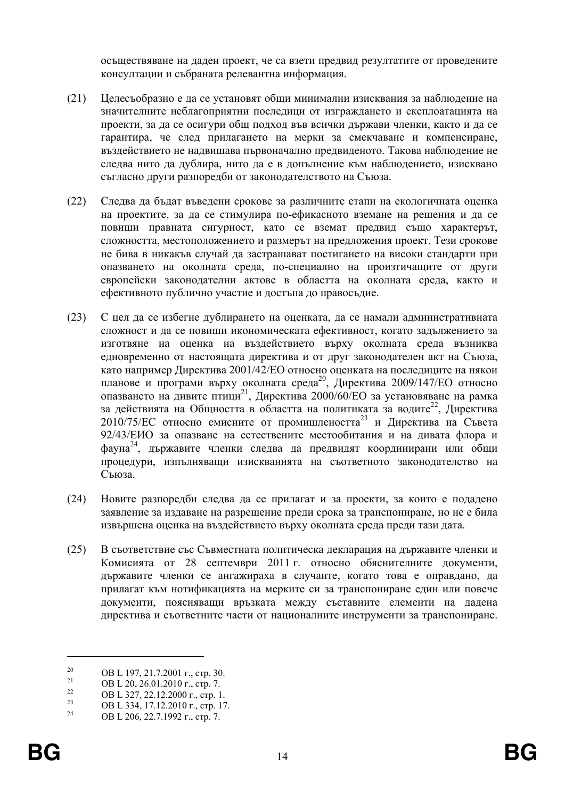осъществяване на лален проект, че са взети прелвил резултатите от провелените консултации и събраната релевантна информация.

- $(21)$ Целесъобразно е да се установят общи минимални изисквания за наблюдение на значителните неблагоприятни послелици от изгражлането и експлоатацията на проекти, за да се осигури общ подход във всички държави членки, както и да се гарантира, че след прилагането на мерки за смекчаване и компенсиране, въздействието не надвишава първоначално предвиденото. Такова наблюдение не следва нито да дублира, нито да е в допълнение към наблюдението, изисквано съгласно други разпоредби от законодателството на Съюза.
- $(22)$ Следва да бъдат въведени срокове за различните етапи на екологичната оценка на проектите, за да се стимулира по-ефикасното вземане на решения и да се повиши правната сигурност, като се вземат предвид също характерът, сложността, местоположението и размерът на предложения проект. Тези срокове не бива в никакъв случай да застрашават постигането на високи стандарти при опазването на околната среда, по-специално на произтичащите от други европейски законодателни актове в областта на околната среда, както и ефективното публично участие и достъпа до правосъдие.
- $(23)$ С цел да се избегне дублирането на оценката, да се намали алминистративната сложност и да се повиши икономическата ефективност, когато задължението за изготвяне на оценка на въздействието върху околната среда възниква едновременно от настоящата директива и от друг законодателен акт на Съюза, като например Лиректива 2001/42/ЕО относно опенката на послелините на някои планове и програми върху околната среда<sup>20</sup>, Директива 2009/147/ЕО относно опазването на дивите птици<sup>21</sup>, Директива 2000/60/ЕО за установяване на рамка за действията на Общността в областта на политиката за водите<sup>22</sup>, Директива 2010/75/ЕС относно емисиите от промишлеността<sup>23</sup> и Директива на Съвета 92/43/ЕИО за опазване на естествените местообитания и на дивата флора и фауна<sup>24</sup>, държавите членки следва да предвидят координирани или общи процедури, изпълняващи изискванията на съответното законодателство на Съюза.
- $(24)$ Новите разпоредби следва да се прилагат и за проекти, за които е подадено заявление за издаване на разрешение преди срока за транспониране, но не е била извършена оценка на въздействието върху околната среда преди тази дата.
- $(25)$ В съответствие със Съвместната политическа декларация на държавите членки и Комисията от 28 септември 2011 г. относно обяснителните документи, държавите членки се ангажираха в случаите, когато това е оправдано, да прилагат към нотификацията на мерките си за транспониране един или повече документи, поясняващи връзката между съставните елементи на дадена директива и съответните части от националните инструменти за транспониране.

 $20$ OB L 197, 21.7.2001 г., стр. 30.

<sup>21</sup> OB L 20, 26.01.2010 г., стр. 7.  $22$ 

OB L 327, 22.12.2000 г., стр. 1.

 $23$ OB L 334, 17.12.2010 г., стр. 17.

 $24$ OB L 206, 22.7.1992 г., стр. 7.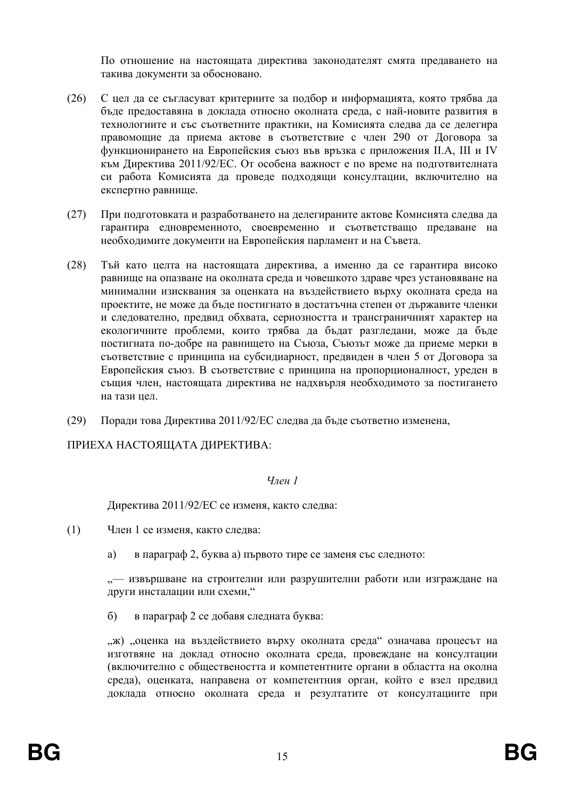По отношение на настоящата лиректива законолателят смята прелаването на такива документи за обосновано.

- $(26)$ С цел да се съгласуват критериите за подбор и информацията, която трябва да бъде предоставяна в доклада относно околната среда, с най-новите развития в технологиите и със съответните практики, на Комисията следва да се делегира правомощие да приема актове в съответствие с член 290 от Договора за функционирането на Европейския съюз във връзка с приложения II.А, III и IV към Директива 2011/92/ЕС. От особена важност е по време на подготвителната си работа Комисията да проведе подходящи консултации, включително на експертно равнище.
- $(27)$ При полготовката и разработването на делегираните актове Комисията следва да гарантира едновременното, своевременно и съответстващо предаване на необходимите документи на Европейския парламент и на Съвета.
- $(28)$ Тъй като целта на настоящата директива, а именно да се гарантира високо равнище на опазване на околната среда и човешкото здраве чрез установяване на минимални изисквания за оценката на въздействието върху околната среда на проектите, не може да бъде постигнато в достатьчна степен от държавите членки и следователно, предвид обхвата, сериозността и трансграничният характер на екологичните проблеми, които трябва да бъдат разгледани, може да бъде постигната по-добре на равнището на Съюза, Съюзът може да приеме мерки в съответствие с принципа на субсидиарност, предвиден в член 5 от Договора за Европейския съюз. В съответствие с принципа на пропорционалност, уреден в същия член, настоящата директива не надхвърля необходимото за постигането на тази цел.
- $(29)$ Поради това Директива 2011/92/ЕС следва да бъде съответно изменена,

ПРИЕХА НАСТОЯЩАТА ДИРЕКТИВА:

# $V_{\eta \rho \mu}$  1

Директива 2011/92/ЕС се изменя, както следва:

- $(1)$ Член 1 се изменя, както следва:
	- $a)$ в параграф 2, буква а) първото тире се заменя със следното:

"- извършване на строителни или разрушителни работи или изграждане на други инсталации или схеми,"

 $\sigma$ ) в параграф 2 се добавя следната буква:

"ж) "оценка на въздействието върху околната среда" означава процесът на изготвяне на доклад относно околната среда, провеждане на консултации (включително с обществеността и компетентните органи в областта на околна среда), оценката, направена от компетентния орган, който е взел предвид доклада относно околната среда и резултатите от консултациите при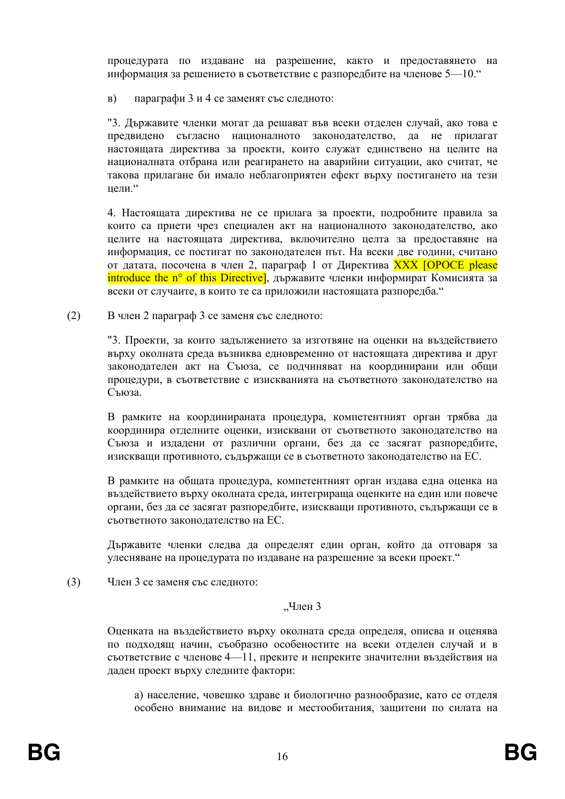процедурата по издаване на разрешение, както и предоставянето на информация за решението в съответствие с разпоредбите на членове 5—10."

 $B)$ параграфи 3 и 4 се заменят със следното:

"3. Държавите членки могат да решават във всеки отделен случай, ако това е предвидено съгласно националното законодателство, да не прилагат настоящата директива за проекти, които служат единствено на целите на националната отбрана или реагирането на аварийни ситуации, ако считат. че такова прилагане би имало неблагоприятен ефект върху постигането на тези иели."

4. Настоящата директива не се прилага за проекти, подробните правила за които са приети чрез специален акт на националното законолателство, ако целите на настоящата директива, включително целта за предоставяне на информация, се постигат по законодателен път. На всеки две години, считано от датата, посочена в член 2, параграф 1 от Директива XXX [OPOCE please introduce the n° of this Directive], държавите членки информират Комисията за всеки от случаите, в които те са приложили настоящата разпоредба."

 $(2)$ В член 2 параграф 3 се заменя със следното:

> "З. Проекти, за които задължението за изготвяне на оценки на въздействието върху околната среда възниква едновременно от настоящата директива и друг законодателен акт на Съюза, се подчиняват на координирани или общи процедури, в съответствие с изискванията на съответното законодателство на Съюза.

> В рамките на координираната процедура, компетентният орган трябва да координира отделните оценки, изисквани от съответното законодателство на Съюза и издадени от различни органи, без да се засягат разпоредбите, изискващи противното, съдържащи се в съответното законодателство на ЕС.

> В рамките на общата процедура, компетентният орган издава една оценка на въздействието върху околната среда, интегрираща оценките на един или повече органи, без да се засягат разпоредбите, изискващи противното, съдържащи се в съответното законодателство на ЕС.

> Държавите членки следва да определят един орган, който да отговаря за улесняване на процедурата по издаване на разрешение за всеки проект."

 $(3)$ Член 3 се заменя със следното:

## "Член 3

Оценката на въздействието върху околната среда определя, описва и оценява по подходящ начин, съобразно особеностите на всеки отделен случай и в съответствие с членове 4—11, преките и непреките значителни въздействия на лален проект върху следните фактори:

а) население, човешко здраве и биологично разнообразие, като се отделя особено внимание на видове и местообитания, защитени по силата на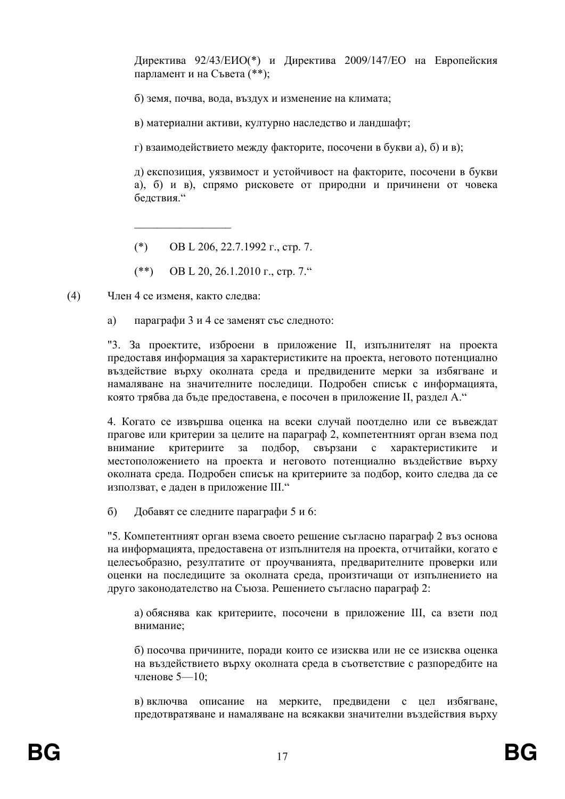Лиректива 92/43/ЕИО(\*) и Лиректива 2009/147/ЕО на Европейския парламент и на Съвета (\*\*);

б) земя, почва, вода, въздух и изменение на климата;

в) материални активи, културно наследство и ландшафт;

г) взаимодействието между факторите, посочени в букви а), б) и в);

л) експозиция, уязвимост и устойчивост на факторите, посочени в букви а), б) и в), спрямо рисковете от природни и причинени от човека белствия."

- $(*)$ OB L 206, 22.7.1992 г., стр. 7.
- $(**)$ OB L 20, 26.1.2010 г., стр. 7."

 $(4)$ Член 4 се изменя, както следва:

> a) параграфи 3 и 4 се заменят със следното:

"3. За проектите, изброени в приложение II, изпълнителят на проекта предоставя информация за характеристиките на проекта, неговото потенциално въздействие върху околната среда и предвидените мерки за избягване и намаляване на значителните последици. Подробен списък с информацията, която трябва да бъде предоставена, е посочен в приложение II, раздел А."

4. Когато се извършва оценка на всеки случай поотделно или се въвеждат прагове или критерии за целите на параграф 2, компетентният орган взема под внимание критериите  $3a$ подбор, свързани  $\mathbf{c}$ характеристиките  $\mathbf{u}$ местоположението на проекта и неговото потенциално въздействие върху околната среда. Подробен списък на критериите за подбор, които следва да се използват, е даден в приложение III."

Добавят се следните параграфи 5 и 6:  $\sigma$ 

"5. Компетентният орган взема своето решение съгласно параграф 2 въз основа на информацията, предоставена от изпълнителя на проекта, отчитайки, когато е целесьобразно, резултатите от проучванията, предварителните проверки или оценки на последиците за околната среда, произтичащи от изпълнението на друго законодателство на Съюза. Решението съгласно параграф 2:

а) обяснява как критериите, посочени в приложение III, са взети под внимание:

б) посочва причините, порали които се изисква или не се изисква оценка на въздействието върху околната среда в съответствие с разпоредбите на членове 5-10;

в) включва описание на мерките, предвидени с цел избягване, предотвратяване и намаляване на всякакви значителни въздействия върху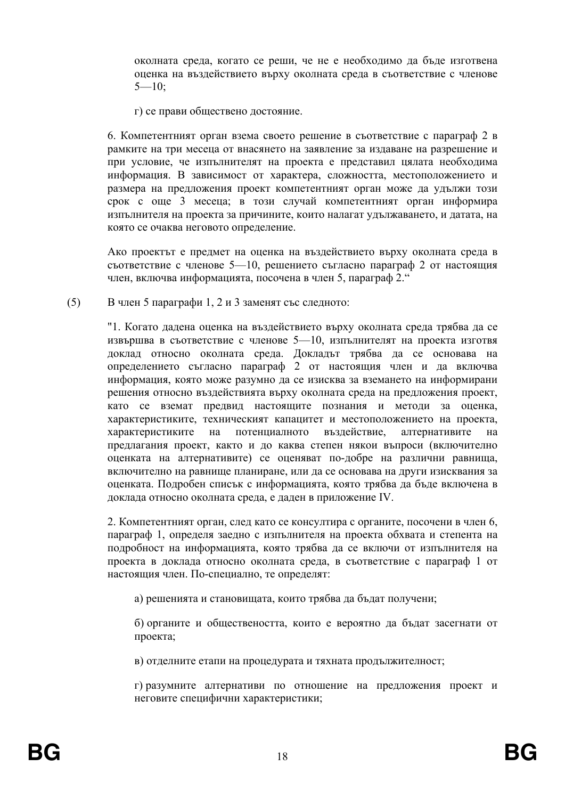околната среда, когато се реши, че не е необходимо да бъде изготвена оценка на въздействието върху околната среда в съответствие с членове  $5 - 10$ ;

г) се прави обществено достояние.

6. Компетентният орган взема своето решение в съответствие с параграф 2 в рамките на три месеца от внасянето на заявление за издаване на разрешение и при условие, че изпълнителят на проекта е представил цялата необходима информация. В зависимост от характера, сложността, местоположението и размера на предложения проект компетентният орган може да удължи този срок с още 3 месеца; в този случай компетентният орган информира изпълнителя на проекта за причините, които налагат улължаването, и латата, на която се очаква неговото определение.

Ако проектът е предмет на оценка на въздействието върху околната среда в съответствие с членове 5-10, решението съгласно параграф 2 от настоящия член, включва информацията, посочена в член 5, параграф 2."

 $(5)$ В член 5 параграфи 1, 2 и 3 заменят със следното:

> "1. Когато дадена оценка на въздействието върху околната среда трябва да се извършва в съответствие с членове 5-10, изпълнителят на проекта изготвя доклад относно околната среда. Докладът трябва да се основава на определението съгласно параграф 2 от настоящия член и да включва информация, която може разумно да се изисква за вземането на информирани решения относно въздействията върху околната среда на предложения проект, като се вземат предвид настоящите познания и методи за оценка, характеристиките, техническият капацитет и местоположението на проекта, характеристиките  $Ha$ потенциалното възлействие. алтернативите на предлагания проект, както и до каква степен някои въпроси (включително оценката на алтернативите) се оценяват по-добре на различни равнища, включително на равнище планиране, или да се основава на други изисквания за оценката. Подробен списък с информацията, която трябва да бъде включена в доклада относно околната среда, е даден в приложение IV.

> 2. Компетентният орган, след като се консултира с органите, посочени в член 6, параграф 1, определя заедно с изпълнителя на проекта обхвата и степента на подробност на информацията, която трябва да се включи от изпълнителя на проекта в доклада относно околната среда, в съответствие с параграф 1 от настоящия член. По-специално, те определят:

а) решенията и становищата, които трябва да бъдат получени;

б) органите и обществеността, които е вероятно да бъдат засегнати от проекта;

в) отделните етапи на процедурата и тяхната продължителност;

г) разумните алтернативи по отношение на предложения проект и неговите специфични характеристики;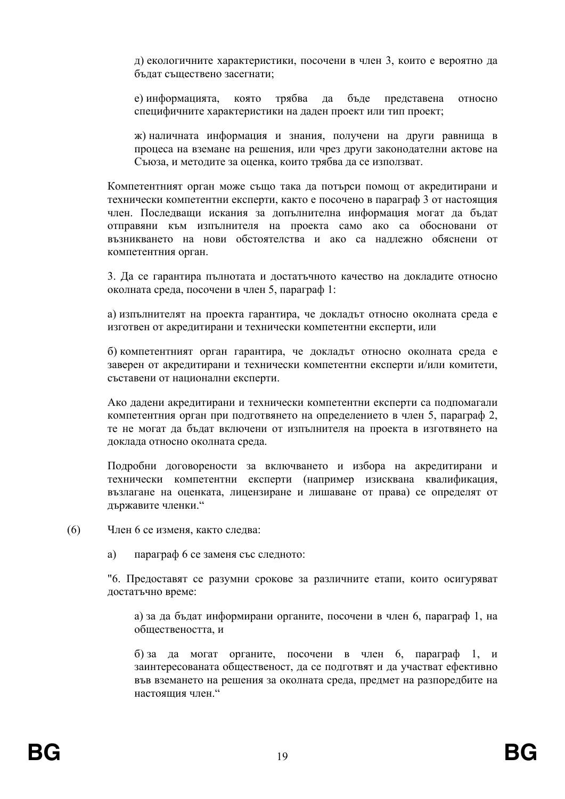д) екологичните характеристики, посочени в член 3, които е вероятно да бъдат съществено засегнати;

която трябва да бъде представена е) информацията, относно специфичните характеристики на даден проект или тип проект;

ж) наличната информация и знания, получени на други равнища в процеса на вземане на решения, или чрез други законодателни актове на Съюза, и методите за оценка, които трябва да се използват.

Компетентният орган може също така да потърси помощ от акредитирани и технически компетентни експерти, както е посочено в параграф 3 от настоящия член. Последващи искания за допълнителна информация могат да бъдат отправяни към изпълнителя на проекта само ако са обосновани от възникването на нови обстоятелства и ако са надлежно обяснени от компетентния орган.

3. Да се гарантира пълнотата и достатъчното качество на докладите относно околната среда, посочени в член 5, параграф 1:

а) изпълнителят на проекта гарантира, че докладът относно околната среда е изготвен от акредитирани и технически компетентни експерти, или

б) компетентният орган гарантира, че докладът относно околната среда е заверен от акредитирани и технически компетентни експерти и/или комитети, съставени от национални експерти.

Ако лалени акрелитирани и технически компетентни експерти са полпомагали компетентния орган при подготвянето на определението в член 5, параграф 2, те не могат да бъдат включени от изпълнителя на проекта в изготвянето на доклада относно околната среда.

Подробни договорености за включването и избора на акредитирани и технически компетентни експерти (например изисквана квалификация, възлагане на оценката, лицензиране и лишаване от права) се определят от лържавите членки."

 $(6)$ Член 6 се изменя, както следва:

> $a)$ параграф 6 се заменя със следното:

"6. Предоставят се разумни срокове за различните етапи, които осигуряват достатьчно време:

а) за да бъдат информирани органите, посочени в член 6, параграф 1, на обшествеността, и

б) за да могат органите, посочени в член 6, параграф 1, и заинтересованата общественост, да се подготвят и да участват ефективно във вземането на решения за околната среда, предмет на разпоредбите на настояния член"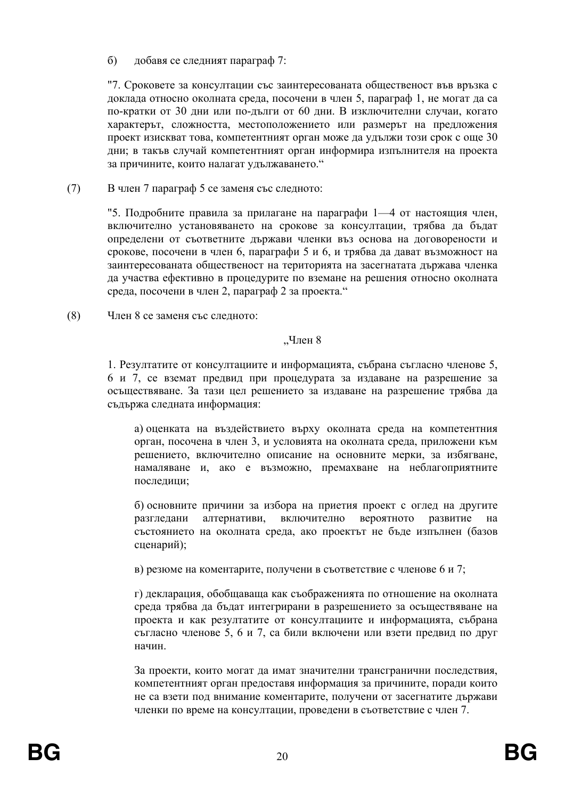лобавя се слелният параграф 7:  $\sigma$ 

"7. Сроковете за консултации със заинтересованата общественост във връзка с доклада относно околната среда, посочени в член 5, параграф 1, не могат да са по-кратки от 30 дни или по-дълги от 60 дни. В изключителни случаи, когато характерът, сложността, местоположението или размерът на предложения проект изискват това, компетентният орган може да удължи този срок с още 30 дни; в такъв случай компетентният орган информира изпълнителя на проекта за причините, които налагат удължаването."

 $(7)$ В член 7 параграф 5 се заменя със следното:

> "5. Подробните правила за прилагане на параграфи 1—4 от настоящия член, включително установяването на срокове за консултации, трябва ла бълат определени от съответните държави членки въз основа на договорености и срокове, посочени в член 6, параграфи 5 и 6, и трябва да дават възможност на заинтересованата общественост на територията на засегнатата държава членка да участва ефективно в процедурите по вземане на решения относно околната среда, посочени в член 2, параграф 2 за проекта."

 $(8)$ Член 8 се заменя със следното:

#### $4\pi$ ен 8

1. Резултатите от консултациите и информацията, събрана съгласно членове 5, 6 и 7, се вземат предвид при процедурата за издаване на разрешение за осъществяване. За тази цел решението за издаване на разрешение трябва да съдържа следната информация:

а) оценката на въздействието върху околната среда на компетентния орган, посочена в член 3, и условията на околната среда, приложени към решението, включително описание на основните мерки, за избягване, намаляване и, ако е възможно, премахване на неблагоприятните последици;

б) основните причини за избора на приетия проект с оглед на другите алтернативи, включително вероятното развитие разгледани на състоянието на околната среда, ако проектът не бъде изпълнен (базов сценарий);

в) резюме на коментарите, получени в съответствие с членове 6 и 7;

г) декларация, обобщаваща как съображенията по отношение на околната среда трябва да бъдат интегрирани в разрешението за осъществяване на проекта и как резултатите от консултациите и информацията, събрана съгласно членове 5, 6 и 7, са били включени или взети предвид по друг начин.

За проекти, които могат да имат значителни трансгранични последствия, компетентният орган предоставя информация за причините, поради които не са взети под внимание коментарите, получени от засегнатите държави членки по време на консултации, проведени в съответствие с член 7.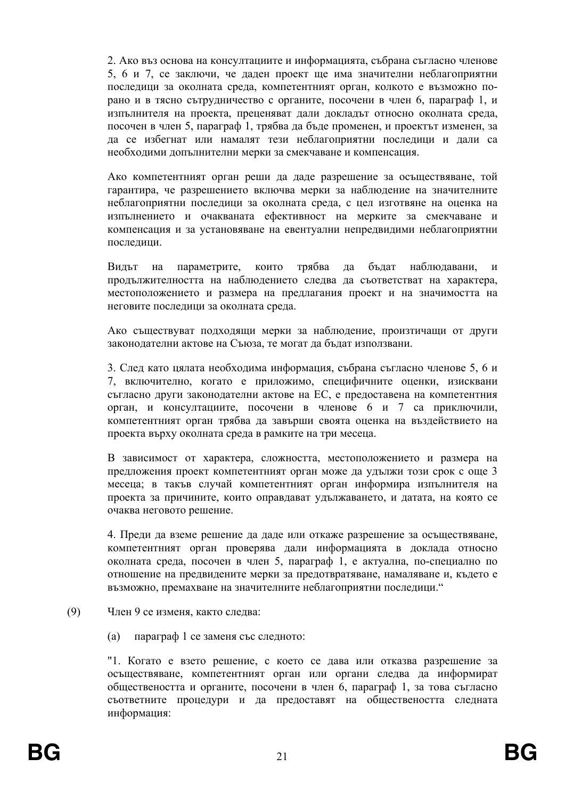2. Ако въз основа на консултациите и информацията, събрана съгласно членове 5, 6 и 7, се заключи, че даден проект ще има значителни неблагоприятни последици за околната среда, компетентният орган, колкото е възможно порано и в тясно сътрудничество с органите, посочени в член 6, параграф 1, и изпълнителя на проекта, преценяват дали докладът относно околната среда, посочен в член 5, параграф 1, трябва да бъде променен, и проектът изменен, за да се избегнат или намалят тези неблагоприятни последици и дали са необходими допълнителни мерки за смекчаване и компенсация.

Ако компетентният орган реши да даде разрешение за осъществяване, той гарантира, че разрешението включва мерки за наблюдение на значителните неблагоприятни последици за околната среда, с цел изготвяне на оценка на изпълнението и очакваната ефективност на мерките за смекчаване и компенсация и за установяване на евентуални непредвидими неблагоприятни последици.

Вилът на параметрите. които трябва ла бълат наблюлавани.  $\overline{M}$ продължителността на наблюдението следва да съответстват на характера, местоположението и размера на предлагания проект и на значимостта на неговите последици за околната среда.

Ако съществуват подходящи мерки за наблюдение, произтичащи от други законодателни актове на Съюза, те могат да бъдат използвани.

3. След като цялата необходима информация, събрана съгласно членове 5, 6 и 7. включително, когато е приложимо, специфичните оценки, изисквани съгласно други законодателни актове на ЕС, е предоставена на компетентния орган, и консултациите, посочени в членове 6 и 7 са приключили, компетентният орган трябва да завърши своята оценка на въздействието на проекта върху околната среда в рамките на три месеца.

В зависимост от характера, сложността, местоположението и размера на предложения проект компетентният орган може да удължи този срок с още 3 месеца; в такъв случай компетентният орган информира изпълнителя на проекта за причините, които оправдават удължаването, и датата, на която се очаква неговото решение.

4. Преди да вземе решение да даде или откаже разрешение за осъществяване. компетентният орган проверява дали информацията в доклада относно околната среда, посочен в член 5, параграф 1, е актуална, по-специално по отношение на предвидените мерки за предотвратяване, намаляване и, където е възможно, премахване на значителните неблагоприятни последици."

#### $(9)$ Член 9 се изменя, както следва:

 $(a)$ параграф 1 се заменя със следното:

"1. Когато е взето решение, с което се дава или отказва разрешение за осъществяване, компетентният орган или органи следва да информират обществеността и органите, посочени в член 6, параграф 1, за това съгласно съответните процедури и да предоставят на обществеността следната информация: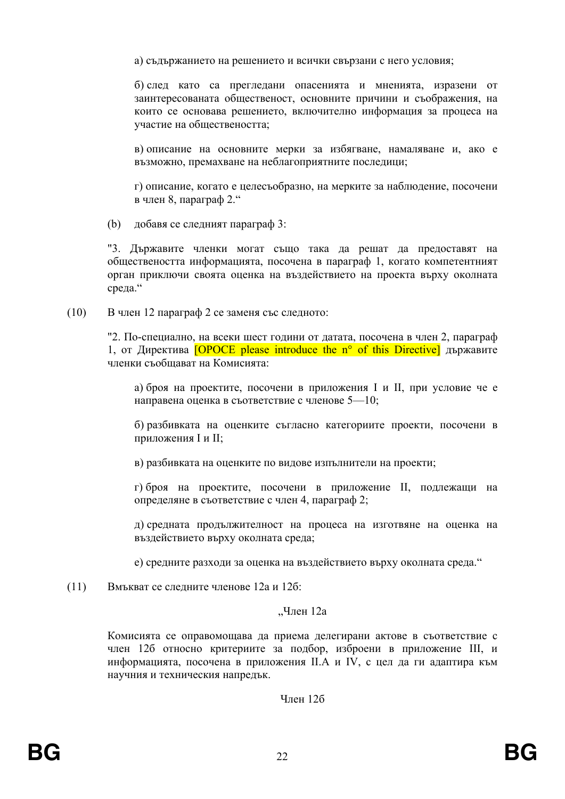а) съдържанието на решението и всички свързани с него условия;

б) след като са прегледани опасенията и мненията, изразени от заинтересованата общественост, основните причини и съображения, на които се основава решението, включително информация за процеса на участие на обществеността;

в) описание на основните мерки за избягване, намаляване и, ако е възможно, премахване на неблагоприятните последици;

г) описание, когато е целесъобразно, на мерките за наблюдение, посочени в член 8, параграф 2."

 $(b)$ добавя се следният параграф 3:

"3. Държавите членки могат също така да решат да предоставят на обществеността информацията, посочена в параграф 1, когато компетентният орган приключи своята оценка на въздействието на проекта върху околната среда."

 $(10)$ В член 12 параграф 2 се заменя със следното:

> "2. По-специално, на всеки шест години от датата, посочена в член 2, параграф 1, от Директива  $[OPOCE$  please introduce the  $n^{\circ}$  of this Directive at  $\alpha$ членки съобщават на Комисията:

а) броя на проектите, посочени в приложения I и II, при условие че е направена оценка в съответствие с членове 5-10;

б) разбивката на оценките съгласно категориите проекти, посочени в приложения I и II;

в) разбивката на оценките по вилове изпълнители на проекти:

г) броя на проектите, посочени в приложение II, подлежащи на определяне в съответствие с член 4, параграф 2;

д) средната продължителност на процеса на изготвяне на оценка на въздействието върху околната среда;

е) средните разходи за оценка на въздействието върху околната среда."

Вмъкват се следните членове 12а и 12б:  $(11)$ 

## "Член 12а

Комисията се оправомощава да приема делегирани актове в съответствие с член 126 относно критериите за подбор, изброени в приложение III, и информацията, посочена в приложения II.А и IV, с цел да ги адаптира към научния и техническия напредък.

Член 12б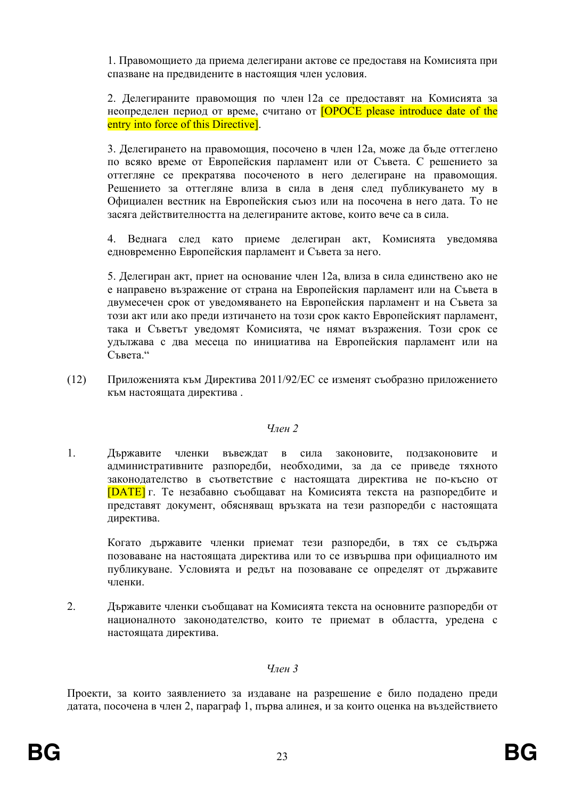1. Правомошието да приема делегирани актове се предоставя на Комисията при спазване на предвидените в настоящия член условия.

2. Делегираните правомощия по член 12а се предоставят на Комисията за неопределен период от време, считано от **[OPOCE please introduce date of the** entry into force of this Directive.

3. Делегирането на правомощия, посочено в член 12а, може да бъде оттеглено по всяко време от Европейския парламент или от Съвета. С решението за оттегляне се прекратява посоченото в него делегиране на правомощия. Решението за оттегляне влиза в сила в деня след публикуването му в Официален вестник на Европейския съюз или на посочена в него дата. То не засяга действителността на делегираните актове, които вече са в сила.

4. Веднага след като приеме делегиран акт, Комисията уведомява едновременно Европейския парламент и Съвета за него.

5. Делегиран акт, приет на основание член 12а, влиза в сила единствено ако не е направено възражение от страна на Европейския парламент или на Съвета в двумесечен срок от уведомяването на Европейския парламент и на Съвета за този акт или ако преди изтичането на този срок както Европейският парламент, така и Съветът уведомят Комисията, че нямат възражения. Този срок се удължава с два месеца по инициатива на Европейския парламент или на Съвета"

 $(12)$ Приложенията към Лиректива 2011/92/ЕС се изменят съобразно приложението към настоящата директива.

#### $V_{\eta\rho\mu}$  2

 $\mathbf{1}$ Държавите членки въвеждат в сила законовите, ползаконовите  $\overline{M}$ административните разпоредби, необходими, за да се приведе тяхното законодателство в съответствие с настоящата директива не по-късно от **[DATE]** г. Те незабавно съобщават на Комисията текста на разпоредбите и представят документ, обясняваш връзката на тези разпоредби с настоящата директива.

Когато държавите членки приемат тези разпоредби, в тях се съдържа позоваване на настоящата лиректива или то се извършва при официалното им публикуване. Условията и редът на позоваване се определят от държавите членки

2. Държавите членки съобщават на Комисията текста на основните разпоредби от националното законодателство, които те приемат в областта, уредена с настоящата директива.

## $V_{\eta \rho \mu}$  3

Проекти, за които заявлението за издаване на разрешение е било подадено преди датата, посочена в член 2, параграф 1, първа алинея, и за които оценка на въздействието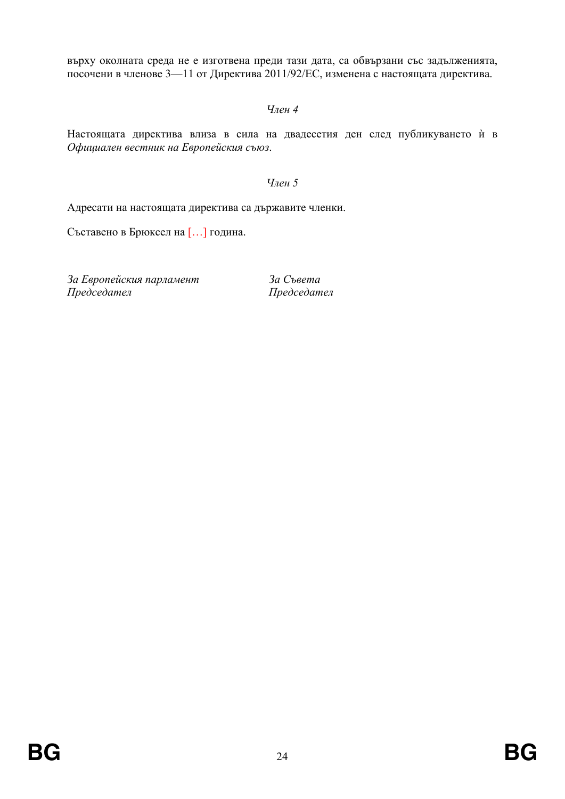върху околната среда не е изготвена преди тази дата, са обвързани със задълженията, посочени в членове 3-11 от Директива 2011/92/ЕС, изменена с настоящата директива.

# $Y$

Настоящата директива влиза в сила на двадесетия ден след публикуването ѝ в Официален вестник на Европейския съюз.

### $Y$

Адресати на настоящата директива са държавите членки.

Съставено в Брюксел на [...] година.

За Европейския парламент Председател

За Съвета Председател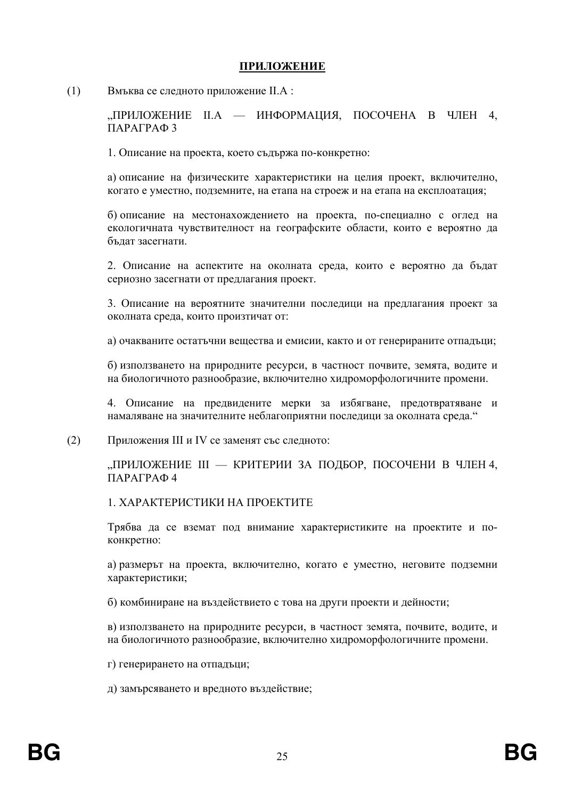## **ПРИЛОЖЕНИЕ**

 $(1)$ Вмъква се следното приложение II.А:

> "ПРИЛОЖЕНИЕ II.А — ИНФОРМАЦИЯ, ПОСОЧЕНА В ЧЛЕН 4, ПАРАГРАФЗ

1. Описание на проекта, което съдържа по-конкретно:

а) описание на физическите характеристики на целия проект, включително, когато е уместно, подземните, на етапа на строеж и на етапа на експлоатация;

б) описание на местонахождението на проекта, по-специално с оглед на екологичната чувствителност на географските области, които е вероятно да бълат засегнати.

2. Описание на аспектите на околната среда, които е вероятно да бъдат сериозно засегнати от предлагания проект.

3. Описание на вероятните значителни последици на предлагания проект за околната среда, които произтичат от:

а) очакваните остатъчни вещества и емисии, както и от генерираните отпадъци;

б) използването на природните ресурси, в частност почвите, земята, водите и на биологичното разнообразие, включително хидроморфологичните промени.

4. Описание на предвидените мерки за избягване, предотвратяване и намаляване на значителните неблагоприятни последици за околната среда."

Приложения III и IV се заменят със следното:  $(2)$ 

> "ПРИЛОЖЕНИЕ III — КРИТЕРИИ ЗА ПОДБОР, ПОСОЧЕНИ В ЧЛЕН 4, ΠΑΡΑΓΡΑΦ4

1 ХАРАКТЕРИСТИКИ НА ПРОЕКТИТЕ

Трябва да се вземат под внимание характеристиките на проектите и поконкретно:

а) размерът на проекта, включително, когато е уместно, неговите подземни характеристики;

б) комбиниране на въздействието с това на други проекти и дейности;

в) използването на природните ресурси, в частност земята, почвите, водите, и на биологичното разнообразие, включително хидроморфологичните промени.

г) генерирането на отпадъци;

д) замърсяването и вредното въздействие;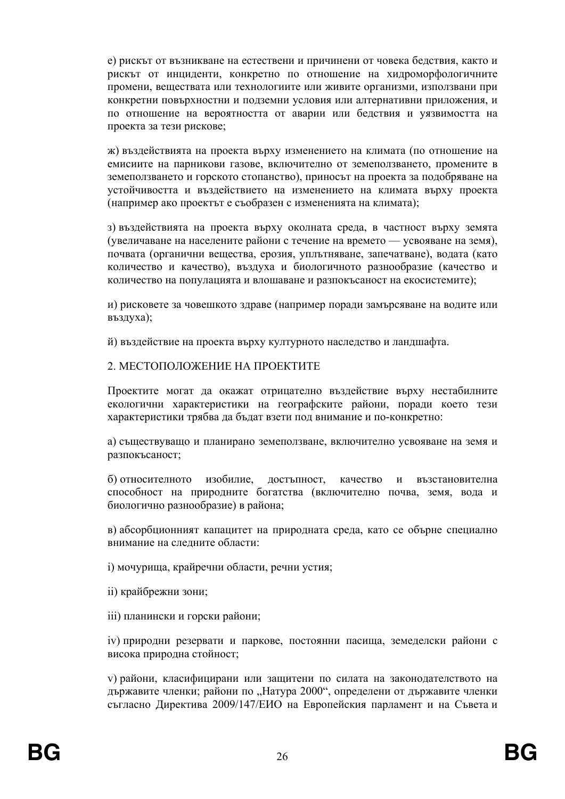е) рискът от възникване на естествени и причинени от човека белствия, както и рискът от инциденти, конкретно по отношение на хидроморфологичните промени, веществата или технологиите или живите организми, използвани при конкретни повърхностни и подземни условия или алтернативни приложения, и по отношение на вероятността от аварии или бедствия и уязвимостта на проекта за тези рискове;

ж) въздействията на проекта върху изменението на климата (по отношение на емисиите на парникови газове, включително от земеползването, промените в земеползването и горското стопанство), приносът на проекта за подобряване на устойчивостта и въздействието на изменението на климата върху проекта (например ако проектът е съобразен с измененията на климата):

з) въздействията на проекта върху околната среда, в частност върху земята (увеличаване на населените райони с течение на времето — усвояване на земя), почвата (органични вещества, ерозия, уплътняване, запечатване), водата (като количество и качество), въздуха и биологичното разнообразие (качество и количество на популацията и влошаване и разпокъсаност на екосистемите):

и) рисковете за човешкото здраве (например поради замърсяване на водите или въздуха);

й) въздействие на проекта върху културното наследство и ландшафта.

## 2. МЕСТОПОЛОЖЕНИЕ НА ПРОЕКТИТЕ

Проектите могат да окажат отрицателно въздействие върху нестабилните екологични характеристики на географските райони, поради което тези характеристики трябва да бъдат взети под внимание и по-конкретно:

а) съществуващо и планирано земеползване, включително усвояване на земя и разпокъсаност;

б) относителното изобилие, достъпност, качество и възстановителна способност на природните богатства (включително почва, земя, вода и биологично разнообразие) в района:

в) абсорбционният капацитет на природната среда, като се обърне специално внимание на следните области:

і) мочурища, крайречни области, речни устия;

- іі) крайбрежни зони;
- iii) планински и горски райони;

іv) природни резервати и паркове, постоянни пасища, земеделски райони с висока природна стойност;

v) райони, класифицирани или защитени по силата на законодателството на държавите членки; райони по "Натура 2000", определени от държавите членки съгласно Директива 2009/147/ЕИО на Европейския парламент и на Съвета и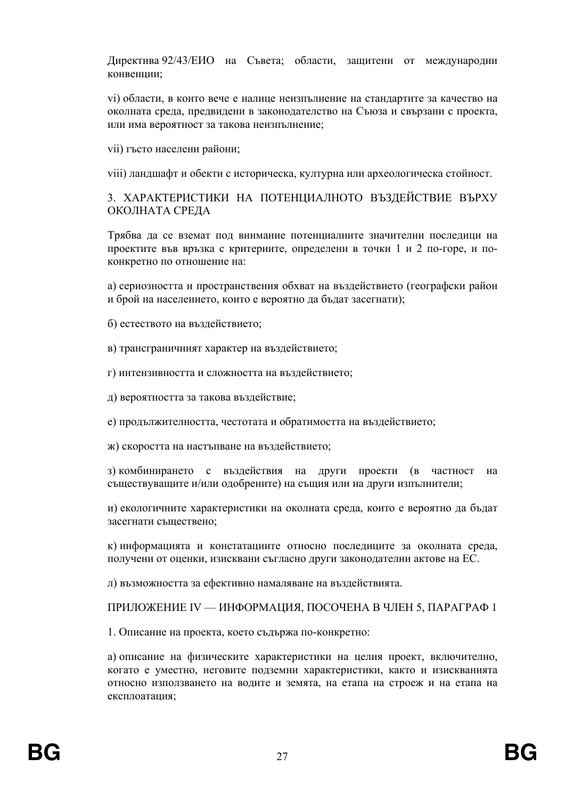Лиректива 92/43/ЕИО на Съвета: области, зашитени от межлународни конвенции;

vi) области, в които вече е налице неизпълнение на стандартите за качество на околната среда, предвидени в законодателство на Съюза и свързани с проекта, или има вероятност за такова неизпълнение;

vii) гъсто населени райони;

viii) ландшафт и обекти с историческа, културна или археологическа стойност.

# 3. ХАРАКТЕРИСТИКИ НА ПОТЕНЦИАЛНОТО ВЪЗДЕЙСТВИЕ ВЪРХУ ОКОЛНАТА СРЕДА

Трябва да се вземат под внимание потенциалните значителни последици на проектите във връзка с критериите, определени в точки 1 и 2 по-горе, и поконкретно по отношение на:

а) сериозността и пространствения обхват на въздействието (географски район и брой на населението, които е вероятно да бъдат засегнати);

б) естеството на въздействието;

в) трансграничният характер на въздействието:

г) интензивността и сложността на въздействието;

д) вероятността за такова въздействие;

е) продължителността, честотата и обратимостта на въздействието;

ж) скоростта на настъпване на въздействието;

з) комбинирането с въздействия на други проекти (в частност на съществуващите и/или одобрените) на същия или на други изпълнители;

и) екологичните характеристики на околната среда, които е вероятно да бъдат засегнати съществено;

к) информацията и констатациите относно последиците за околната среда, получени от оценки, изисквани съгласно други законодателни актове на ЕС.

л) възможността за ефективно намаляване на въздействията.

ПРИЛОЖЕНИЕ IV — ИНФОРМАЦИЯ, ПОСОЧЕНА В ЧЛЕН 5, ПАРАГРАФ 1

1. Описание на проекта, което съдържа по-конкретно:

а) описание на физическите характеристики на целия проект, включително, когато е уместно, неговите подземни характеристики, както и изискванията относно използването на водите и земята, на етапа на строеж и на етапа на експлоатация: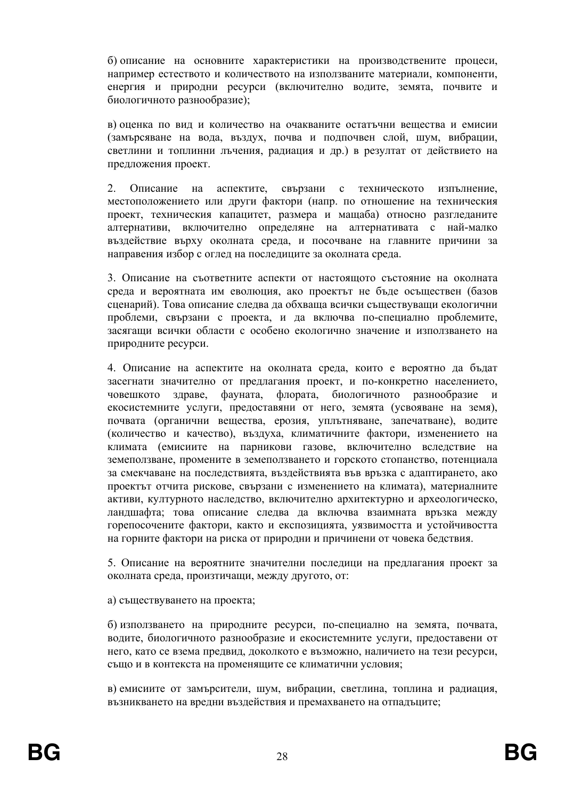б) описание на основните характеристики на произволствените процеси. например естеството и количеството на използваните материали, компоненти, енергия и природни ресурси (включително водите, земята, почвите и биологичното разнообразие);

в) оценка по вид и количество на очакваните остатъчни вещества и емисии (замърсяване на вода, въздух, почва и подпочвен слой, шум, вибрации, светлини и топлинни лъчения, радиация и др.) в резултат от действието на предложения проект.

2. Описание на аспектите, свързани с техническото изпълнение, местоположението или други фактори (напр. по отношение на техническия проект, техническия капацитет, размера и мащаба) относно разгледаните алтернативи, включително определяне на алтернативата с най-малко въздействие върху околната среда, и посочване на главните причини за направения избор с оглед на последиците за околната среда.

3. Описание на съответните аспекти от настоящото състояние на околната среда и вероятната им еволюция, ако проектът не бъде осъществен (базов сценарий). Това описание следва да обхваща всички съществуващи екологични проблеми, свързани с проекта, и да включва по-специално проблемите, засягащи всички области с особено екологично значение и използването на природните ресурси.

4. Описание на аспектите на околната среда, които е вероятно да бъдат засегнати значително от предлагания проект, и по-конкретно населението, флората. биологичното човешкото злраве. фауната. разнообразие екосистемните услуги, предоставяни от него, земята (усвояване на земя), почвата (органични вещества, ерозия, уплътняване, запечатване), водите (количество и качество), въздуха, климатичните фактори, изменението на климата (емисиите на парникови газове, включително вследствие на земеползване, промените в земеползването и горското стопанство, потенциала за смекчаване на последствията, въздействията във връзка с адаптирането, ако проектът отчита рискове, свързани с изменението на климата), материалните активи, културното наследство, включително архитектурно и археологическо, ландшафта; това описание следва да включва взаимната връзка между горепосочените фактори, както и експозицията, уязвимостта и устойчивостта на горните фактори на риска от природни и причинени от човека бедствия.

5. Описание на вероятните значителни последици на предлагания проект за околната среда, произтичащи, между другото, от:

а) съществуването на проекта;

б) използването на природните ресурси, по-специално на земята, почвата, водите, биологичното разнообразие и екосистемните услуги, предоставени от него, като се взема предвид, доколкото е възможно, наличието на тези ресурси, също и в контекста на променящите се климатични условия;

в) емисиите от замърсители, шум, вибрации, светлина, топлина и радиация, възникването на вредни въздействия и премахването на отпадъците: